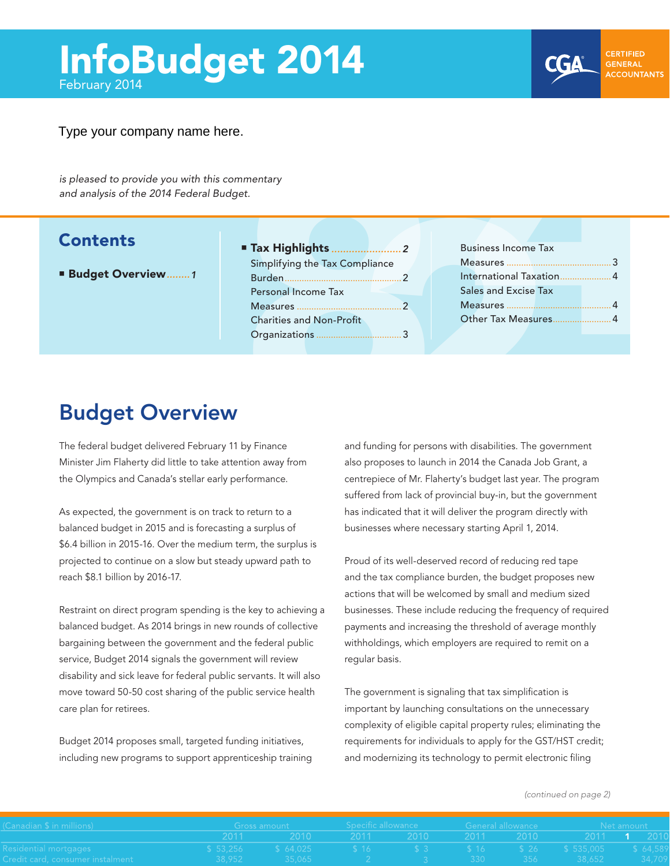#### <span id="page-0-0"></span>Type your company name here.

*is pleased to provide you with this commentary and analysis of the 2014 Federal Budget.*

### **Contents**

- Budget Overview*........1*
- Tax Highlights *........................2* Simplifying the Tax Compliance Burden................................................2 Personal Income Tax Measures ...........................................2 Charities and Non-Profit Organizations ...................................3

| <b>Business Income Tax</b> |   |  |  |  |  |  |  |  |
|----------------------------|---|--|--|--|--|--|--|--|
|                            |   |  |  |  |  |  |  |  |
| International Taxation     | 4 |  |  |  |  |  |  |  |
| Sales and Excise Tax       |   |  |  |  |  |  |  |  |
|                            |   |  |  |  |  |  |  |  |
| Other Tax Measures         |   |  |  |  |  |  |  |  |

### Budget Overview

The federal budget delivered February 11 by Finance Minister Jim Flaherty did little to take attention away from the Olympics and Canada's stellar early performance.

As expected, the government is on track to return to a balanced budget in 2015 and is forecasting a surplus of \$6.4 billion in 2015-16. Over the medium term, the surplus is projected to continue on a slow but steady upward path to reach \$8.1 billion by 2016-17.

Restraint on direct program spending is the key to achieving a balanced budget. As 2014 brings in new rounds of collective bargaining between the government and the federal public service, Budget 2014 signals the government will review disability and sick leave for federal public servants. It will also move toward 50-50 cost sharing of the public service health care plan for retirees.

Budget 2014 proposes small, targeted funding initiatives, including new programs to support apprenticeship training

**EXECUTE:**<br> **EXERCISE AND SECURE AND SECURE AND SECURE AND SECURE AND SECURE AND SECURE AND SECURE AND SECURE AND PRESENTED AND PRESENTED AND PRESENTED AND PRESENTED AND SURFACE AND SURFACE AND SURFACE AND SURFACE AND SURF** and funding for persons with disabilities. The government also proposes to launch in 2014 the Canada Job Grant, a centrepiece of Mr. Flaherty's budget last year. The program suffered from lack of provincial buy-in, but the government has indicated that it will deliver the program directly with businesses where necessary starting April 1, 2014.

> Proud of its well-deserved record of reducing red tape and the tax compliance burden, the budget proposes new actions that will be welcomed by small and medium sized businesses. These include reducing the frequency of required payments and increasing the threshold of average monthly withholdings, which employers are required to remit on a regular basis.

The government is signaling that tax simplification is important by launching consultations on the unnecessary complexity of eligible capital property rules; eliminating the requirements for individuals to apply for the GST/HST credit; and modernizing its technology to permit electronic filing

#### *[\(continued on page 2\)](#page-1-0)*

| Canadian $\$$ in millions) $-$                                 |  |                                                                                                                | Gross amount _____________ Specific allowance __________ General allowance ______ |  |  |  | <b>Example 1</b> Net amount |  |  |
|----------------------------------------------------------------|--|----------------------------------------------------------------------------------------------------------------|-----------------------------------------------------------------------------------|--|--|--|-----------------------------|--|--|
|                                                                |  |                                                                                                                |                                                                                   |  |  |  |                             |  |  |
| esidential mortgages!                                          |  | 「\$ 53,256        \$ 64,025         \$ 16         \$ 3        \$ 16        \$ 26     \$ 535,005      \$ 64,589 |                                                                                   |  |  |  |                             |  |  |
| $\mathop{\mathsf{E}}$ redit card, consumer instalment $\qquad$ |  | $-38.952$ $-35.065$                                                                                            |                                                                                   |  |  |  |                             |  |  |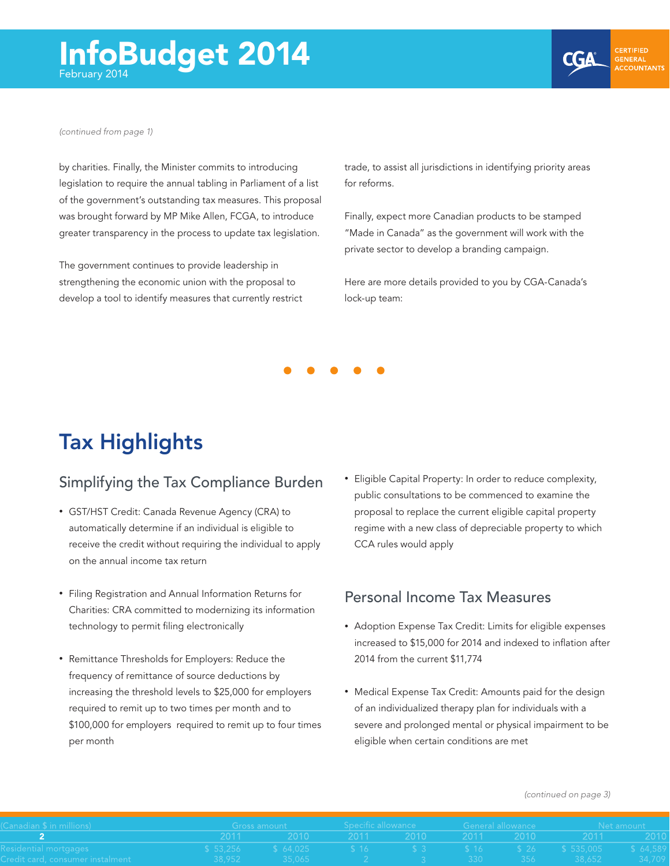<span id="page-1-0"></span>



**GENERAL ACCOUNTANTS** 

*[\(continued from page 1\)](#page-0-0)*

by charities. Finally, the Minister commits to introducing legislation to require the annual tabling in Parliament of a list of the government's outstanding tax measures. This proposal was brought forward by MP Mike Allen, FCGA, to introduce greater transparency in the process to update tax legislation.

The government continues to provide leadership in strengthening the economic union with the proposal to develop a tool to identify measures that currently restrict trade, to assist all jurisdictions in identifying priority areas for reforms.

Finally, expect more Canadian products to be stamped "Made in Canada" as the government will work with the private sector to develop a branding campaign.

Here are more details provided to you by CGA-Canada's lock-up team:



## Tax Highlights

### Simplifying the Tax Compliance Burden

- • GST/HST Credit: Canada Revenue Agency (CRA) to automatically determine if an individual is eligible to receive the credit without requiring the individual to apply on the annual income tax return
- • Filing Registration and Annual Information Returns for Charities: CRA committed to modernizing its information technology to permit filing electronically
- • Remittance Thresholds for Employers: Reduce the frequency of remittance of source deductions by increasing the threshold levels to \$25,000 for employers required to remit up to two times per month and to \$100,000 for employers required to remit up to four times per month

• Eligible Capital Property: In order to reduce complexity, public consultations to be commenced to examine the proposal to replace the current eligible capital property regime with a new class of depreciable property to which CCA rules would apply

#### Personal Income Tax Measures

- Adoption Expense Tax Credit: Limits for eligible expenses increased to \$15,000 for 2014 and indexed to inflation after 2014 from the current \$11,774
- Medical Expense Tax Credit: Amounts paid for the design of an individualized therapy plan for individuals with a severe and prolonged mental or physical impairment to be eligible when certain conditions are met

*[\(continued on page 3\)](#page-2-0)*

| $\mathsf{Landian} \mathsf{\$}$ in millions) $\mathsf{I}$ |  |                                                                                                                  | Gross amount       Specific allowance      General allowance |  |  |  | Met amount to a               |  |
|----------------------------------------------------------|--|------------------------------------------------------------------------------------------------------------------|--------------------------------------------------------------|--|--|--|-------------------------------|--|
|                                                          |  |                                                                                                                  |                                                              |  |  |  |                               |  |
| esidential mortgages                                     |  | '\$ 53,256        \$ 64,025         \$ 16          \$ 3         \$ 16        \$ 26     \$ 535,005      \$ 64,589 |                                                              |  |  |  |                               |  |
| redit card, consumer instalment and a state of the       |  | $38.952$ $35.065$                                                                                                |                                                              |  |  |  | - 2 3 3 330 356 38.652 34.709 |  |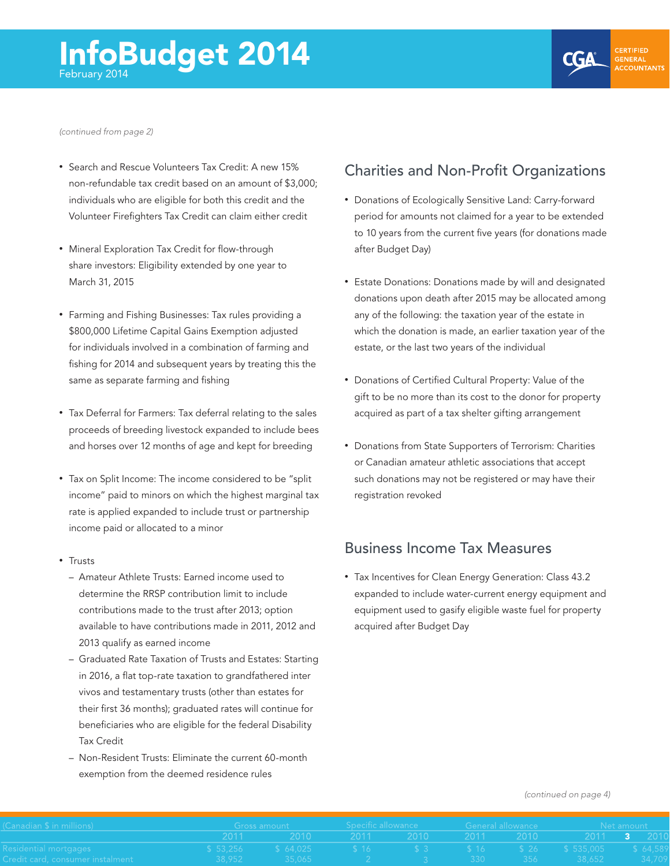**CGA** 

<span id="page-2-0"></span>*[\(continued from page 2\)](#page-1-0)*

- Search and Rescue Volunteers Tax Credit: A new 15% non-refundable tax credit based on an amount of \$3,000; individuals who are eligible for both this credit and the Volunteer Firefighters Tax Credit can claim either credit
- Mineral Exploration Tax Credit for flow-through share investors: Eligibility extended by one year to March 31, 2015
- Farming and Fishing Businesses: Tax rules providing a \$800,000 Lifetime Capital Gains Exemption adjusted for individuals involved in a combination of farming and fishing for 2014 and subsequent years by treating this the same as separate farming and fishing
- Tax Deferral for Farmers: Tax deferral relating to the sales proceeds of breeding livestock expanded to include bees and horses over 12 months of age and kept for breeding
- Tax on Split Income: The income considered to be "split income" paid to minors on which the highest marginal tax rate is applied expanded to include trust or partnership income paid or allocated to a minor
- • Trusts
	- Amateur Athlete Trusts: Earned income used to determine the RRSP contribution limit to include contributions made to the trust after 2013; option available to have contributions made in 2011, 2012 and 2013 qualify as earned income
	- Graduated Rate Taxation of Trusts and Estates: Starting in 2016, a flat top-rate taxation to grandfathered inter vivos and testamentary trusts (other than estates for their first 36 months); graduated rates will continue for beneficiaries who are eligible for the federal Disability Tax Credit
	- Non-Resident Trusts: Eliminate the current 60-month exemption from the deemed residence rules

### Charities and Non-Profit Organizations

- • Donations of Ecologically Sensitive Land: Carry-forward period for amounts not claimed for a year to be extended to 10 years from the current five years (for donations made after Budget Day)
- Estate Donations: Donations made by will and designated donations upon death after 2015 may be allocated among any of the following: the taxation year of the estate in which the donation is made, an earlier taxation year of the estate, or the last two years of the individual
- • Donations of Certified Cultural Property: Value of the gift to be no more than its cost to the donor for property acquired as part of a tax shelter gifting arrangement
- • Donations from State Supporters of Terrorism: Charities or Canadian amateur athletic associations that accept such donations may not be registered or may have their registration revoked

#### Business Income Tax Measures

• Tax Incentives for Clean Energy Generation: Class 43.2 expanded to include water-current energy equipment and equipment used to gasify eligible waste fuel for property acquired after Budget Day

#### *[\(continued on page 4\)](#page-3-0)*

| $\mathsf{Landian} \$ in millions) and $\mathsf{C}$     |  |                                                                       |  |  |  |  | Gross amount The Specific allowance Comercial allowance Cross amount Net amount |  |  |
|--------------------------------------------------------|--|-----------------------------------------------------------------------|--|--|--|--|---------------------------------------------------------------------------------|--|--|
|                                                        |  |                                                                       |  |  |  |  |                                                                                 |  |  |
| esidential mortgages and a                             |  |                                                                       |  |  |  |  |                                                                                 |  |  |
| redit card, consumer instalment and the control of the |  | l 38,952     35,065      2      3     330    356    38,652    34,709, |  |  |  |  |                                                                                 |  |  |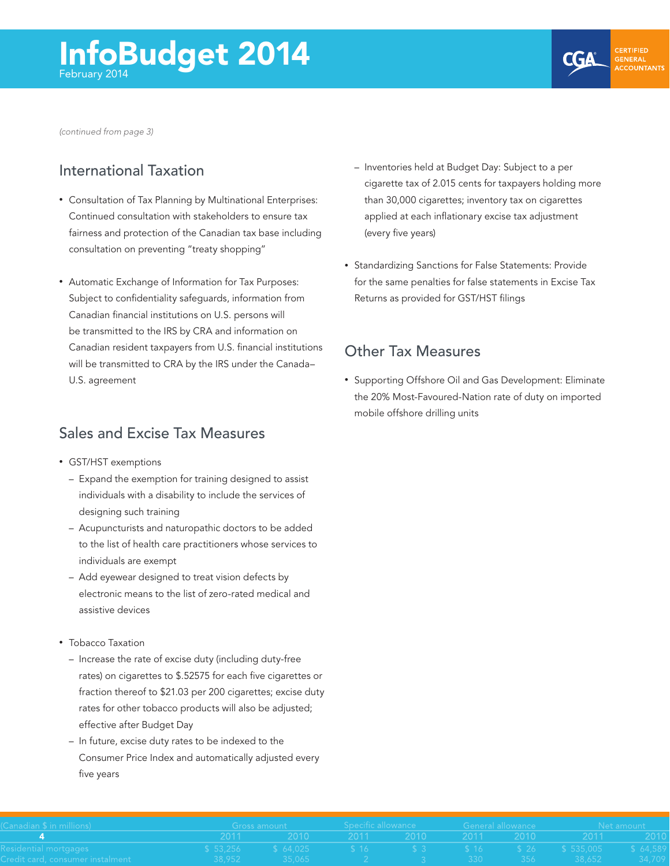**CGA** 

<span id="page-3-0"></span>*[\(continued from page 3\)](#page-2-0)*

### International Taxation

- Consultation of Tax Planning by Multinational Enterprises: Continued consultation with stakeholders to ensure tax fairness and protection of the Canadian tax base including consultation on preventing "treaty shopping"
- Automatic Exchange of Information for Tax Purposes: Subject to confidentiality safeguards, information from Canadian financial institutions on U.S. persons will be transmitted to the IRS by CRA and information on Canadian resident taxpayers from U.S. financial institutions will be transmitted to CRA by the IRS under the Canada– U.S. agreement

#### Sales and Excise Tax Measures

- • GST/HST exemptions
	- Expand the exemption for training designed to assist individuals with a disability to include the services of designing such training
	- Acupuncturists and naturopathic doctors to be added to the list of health care practitioners whose services to individuals are exempt
	- Add eyewear designed to treat vision defects by electronic means to the list of zero-rated medical and assistive devices
- Tobacco Taxation
	- Increase the rate of excise duty (including duty-free rates) on cigarettes to \$.52575 for each five cigarettes or fraction thereof to \$21.03 per 200 cigarettes; excise duty rates for other tobacco products will also be adjusted; effective after Budget Day
	- In future, excise duty rates to be indexed to the Consumer Price Index and automatically adjusted every five years
- Inventories held at Budget Day: Subject to a per cigarette tax of 2.015 cents for taxpayers holding more than 30,000 cigarettes; inventory tax on cigarettes applied at each inflationary excise tax adjustment (every five years)
- • Standardizing Sanctions for False Statements: Provide for the same penalties for false statements in Excise Tax Returns as provided for GST/HST filings

#### Other Tax Measures

• Supporting Offshore Oil and Gas Development: Eliminate the 20% Most-Favoured-Nation rate of duty on imported mobile offshore drilling units

| $\sf {Landian}$ $\sf $$ in millions) $\equiv$                                                               |                                                                                                                          |  |  |  |  |  | Cross amount the Specific allowance the General allowance that the Net amount the Specific allowance the Specific S |  |  |
|-------------------------------------------------------------------------------------------------------------|--------------------------------------------------------------------------------------------------------------------------|--|--|--|--|--|---------------------------------------------------------------------------------------------------------------------|--|--|
|                                                                                                             | - 2011 - 2010 - 2011 - 2010 - 2011 - 2010 - 2011 - 2010                                                                  |  |  |  |  |  |                                                                                                                     |  |  |
| esidential mortgages and a                                                                                  | 「\$ 53,256         \$ 64,025          \$ 16           \$ 3          \$ 16         \$ 26      \$ 535,005       \$ 64,589, |  |  |  |  |  |                                                                                                                     |  |  |
| redit card, consumer instalment         38,952     35,065      2      3     330    356     38,652    34,709 |                                                                                                                          |  |  |  |  |  |                                                                                                                     |  |  |